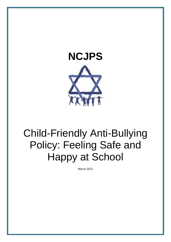



# Child-Friendly Anti-Bullying Policy: Feeling Safe and Happy at School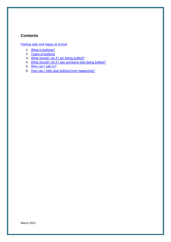## **Contents**

[Feeling safe and happy at school](#page-2-0)

- 1. [What is bullying?](#page-2-1)
- 2. [Types of bullying](#page-3-0)
- 3. [What should I do if I am being bullied?](#page-4-0)
- 4. [What should I do if I see someone else being bullied?](#page-4-1)
- 5. [Who can I talk to?](#page-5-0)
- 6. [How can I help stop bullying from happening?](#page-5-1)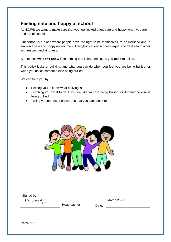# <span id="page-2-0"></span>**Feeling safe and happy at school**

At NCJPS we want to make sure that you feel looked after, safe and happy when you are in and out of school.

Our school is a place where people have the right to be themselves, to be included and to learn in a safe and happy environment. Everybody at our school is equal and treats each other with respect and kindness.

Sometimes **we don't know** if something bad is happening, so you **need** to tell us.

This policy looks at bullying, and what you can do when you feel you are being bullied, or when you notice someone else being bullied.

We can help you by:

- Helping you to know what bullying is.
- Teaching you what to do if you feel like you are being bullied, or if someone else is being bullied.
- Telling you names of grown-ups that you can speak to.



Signed by:

<span id="page-2-1"></span> $M.woov$ 

Headteacher Date: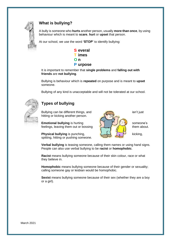

# **What is bullying?**

A bully is someone who **hurts** another person, usually **more than once**, by using behaviour which is meant to **scare**, **hurt** or **upset** that person.

At our school, we use the word **'STOP'** to identify bullying:



It is important to remember that **single problems** and **falling out with friends** are **not bullying**.

Bullying is behaviour which is **repeated** on purpose and is meant to **upset**  someone.

Bullying of any kind is unacceptable and will not be tolerated at our school.



# <span id="page-3-0"></span>**Types of bullying**

Bullying can be different things, and isn't just hitting or kicking another person.

**Emotional bullying** is hurting **someone's** someone's feelings, leaving them out or bossing  $\frac{f_{\text{total}}}{f_{\text{total}}}$  them about.

**Physical bullying** is punching,  $\left\{\begin{matrix} \sqrt{1-x^2} & \sqrt{1-x^2} \\ \sqrt{1-x^2} & \sqrt{1-x^2} \end{matrix}\right\}$  kicking, spitting, hitting or pushing someone.



**Verbal bullying** is teasing someone, calling them names or using hand signs. People can also use verbal bullying to be **racist** or **homophobic**.

**Racist** means bullying someone because of their skin colour, race or what they believe in.

**Homophobic** means bullying someone because of their gender or sexuality; calling someone gay or lesbian would be homophobic.

**Sexist** means bullying someone because of their sex (whether they are a boy or a girl).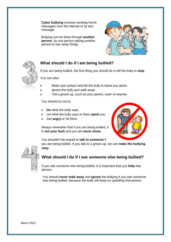**Cyber bullying** involves sending horrid messages over the internet or by text message.

Bullying can be done through **another person**, by one person asking another person to say nasty things.





### <span id="page-4-0"></span>**What should I do if I am being bullied?**

If you are being bullied, the first thing you should do is tell the bully to **stop**.

You can also:

- Make eye contact and tell the bully to leave you alone.
- Ignore the bully and walk away.
- Tell a grown-up, such as your parent, carer or teacher.

You should try not to:

- **Do** what the bully says.
- Let what the bully says or does **upset** you.
- Get **angry** or hit them.

Always remember that if you are being bullied, it is **not your fault** and you are **never alone**.



You shouldn't be scared to **talk to someone** if

you are being bullied. If you talk to a grown-up, we can **make the bullying stop**.



# <span id="page-4-1"></span>**What should I do if I see someone else being bullied?**

If you see someone else being bullied, it is important that you **help** that person.

You should **never walk away** and **ignore** the bullying if you see someone else being bullied, because the bully will keep on upsetting that person.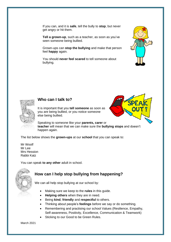If you can, and it is **safe**, tell the bully to **stop**, but never get angry or hit them.

**Tell a grown-up**, such as a teacher, as soon as you've seen someone being bullied.

Grown-ups can **stop the bullying** and make that person feel **happy** again.

You should **never feel scared** to tell someone about bullying.





### <span id="page-5-0"></span>**Who can I talk to?**

It is important that you **tell someone** as soon as you are being bullied, or you notice someone else being bullied.



Speaking to someone like your **parents, carer** or **teacher** will mean that we can make sure the **bullying stops** and doesn't happen again.

The list below shows the **grown-ups** at our **school** that you can speak to:

Mr Woolf Mr Lee Mrs Hession Rabbi Katz

You can speak **to any other** adult in school.



### <span id="page-5-1"></span>**How can I help stop bullying from happening?**

We can all help stop bullying at our school by:

- Making sure we keep to the **rules** in this guide.
- **Helping others** when they are in need.
- Being **kind**, **friendly** and **respectful** to others.
- Thinking about people's **feelings** before we say or do something.
- Remembering and practising our school Values (Resilience, Empathy, Self-awareness, Positivity, Excellence, Communication & Teamwork)
- Sticking to our Good to be Green Rules.